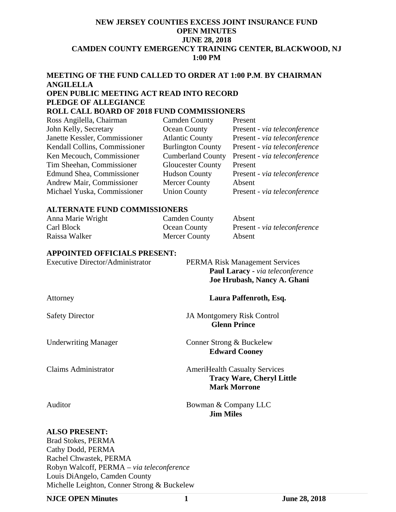## **NEW JERSEY COUNTIES EXCESS JOINT INSURANCE FUND OPEN MINUTES JUNE 28, 2018 CAMDEN COUNTY EMERGENCY TRAINING CENTER, BLACKWOOD, NJ 1:00 PM**

# **MEETING OF THE FUND CALLED TO ORDER AT 1:00 P.M**. **BY CHAIRMAN ANGILELLA OPEN PUBLIC MEETING ACT READ INTO RECORD PLEDGE OF ALLEGIANCE**

## **ROLL CALL BOARD OF 2018 FUND COMMISSIONERS**

| <b>Camden County</b>     | Present                      |
|--------------------------|------------------------------|
| Ocean County             | Present - via teleconference |
| <b>Atlantic County</b>   | Present - via teleconference |
| <b>Burlington County</b> | Present - via teleconference |
| <b>Cumberland County</b> | Present - via teleconference |
| <b>Gloucester County</b> | Present                      |
| <b>Hudson County</b>     | Present - via teleconference |
| <b>Mercer County</b>     | Absent                       |
| <b>Union County</b>      | Present - via teleconference |
|                          |                              |

#### **ALTERNATE FUND COMMISSIONERS**

| Anna Marie Wright | <b>Camden County</b> | Absent                       |
|-------------------|----------------------|------------------------------|
| Carl Block        | <b>Ocean County</b>  | Present - via teleconference |
| Raissa Walker     | <b>Mercer County</b> | Absent                       |

## **APPOINTED OFFICIALS PRESENT:**

| <b>Executive Director/Administrator</b> | <b>PERMA Risk Management Services</b><br>Paul Laracy - via teleconference<br>Joe Hrubash, Nancy A. Ghani |
|-----------------------------------------|----------------------------------------------------------------------------------------------------------|
| Attorney                                | Laura Paffenroth, Esq.                                                                                   |
| <b>Safety Director</b>                  | <b>JA Montgomery Risk Control</b><br><b>Glenn Prince</b>                                                 |
| <b>Underwriting Manager</b>             | Conner Strong & Buckelew<br><b>Edward Cooney</b>                                                         |

Claims Administrator **AmeriHealth Casualty Services Tracy Ware, Cheryl Little Mark Morrone** 

Auditor Bowman & Company LLC  **Jim Miles** 

## **ALSO PRESENT:**

Brad Stokes, PERMA Cathy Dodd, PERMA Rachel Chwastek, PERMA Robyn Walcoff, PERMA – *via teleconference* Louis DiAngelo, Camden County Michelle Leighton, Conner Strong & Buckelew

#### **NJCE OPEN Minutes 1 June 28, 2018**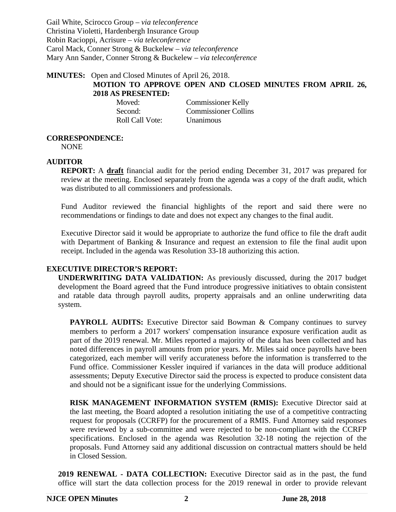Gail White, Scirocco Group – *via teleconference*  Christina Violetti, Hardenbergh Insurance Group Robin Racioppi, Acrisure – *via teleconference* Carol Mack, Conner Strong & Buckelew – *via teleconference* Mary Ann Sander, Conner Strong & Buckelew – *via teleconference*

## **MINUTES:** Open and Closed Minutes of April 26, 2018. **MOTION TO APPROVE OPEN AND CLOSED MINUTES FROM APRIL 26, 2018 AS PRESENTED:**

| Moved:          | <b>Commissioner Kelly</b>   |
|-----------------|-----------------------------|
| Second:         | <b>Commissioner Collins</b> |
| Roll Call Vote: | Unanimous                   |

#### **CORRESPONDENCE:**

NONE

## **AUDITOR**

**REPORT:** A **draft** financial audit for the period ending December 31, 2017 was prepared for review at the meeting. Enclosed separately from the agenda was a copy of the draft audit, which was distributed to all commissioners and professionals.

Fund Auditor reviewed the financial highlights of the report and said there were no recommendations or findings to date and does not expect any changes to the final audit.

Executive Director said it would be appropriate to authorize the fund office to file the draft audit with Department of Banking & Insurance and request an extension to file the final audit upon receipt. Included in the agenda was Resolution 33-18 authorizing this action.

## **EXECUTIVE DIRECTOR'S REPORT:**

**UNDERWRITING DATA VALIDATION:** As previously discussed, during the 2017 budget development the Board agreed that the Fund introduce progressive initiatives to obtain consistent and ratable data through payroll audits, property appraisals and an online underwriting data system.

**PAYROLL AUDITS:** Executive Director said Bowman & Company continues to survey members to perform a 2017 workers' compensation insurance exposure verification audit as part of the 2019 renewal. Mr. Miles reported a majority of the data has been collected and has noted differences in payroll amounts from prior years. Mr. Miles said once payrolls have been categorized, each member will verify accurateness before the information is transferred to the Fund office. Commissioner Kessler inquired if variances in the data will produce additional assessments; Deputy Executive Director said the process is expected to produce consistent data and should not be a significant issue for the underlying Commissions.

**RISK MANAGEMENT INFORMATION SYSTEM (RMIS):** Executive Director said at the last meeting, the Board adopted a resolution initiating the use of a competitive contracting request for proposals (CCRFP) for the procurement of a RMIS. Fund Attorney said responses were reviewed by a sub-committee and were rejected to be non-compliant with the CCRFP specifications. Enclosed in the agenda was Resolution 32-18 noting the rejection of the proposals. Fund Attorney said any additional discussion on contractual matters should be held in Closed Session.

**2019 RENEWAL - DATA COLLECTION:** Executive Director said as in the past, the fund office will start the data collection process for the 2019 renewal in order to provide relevant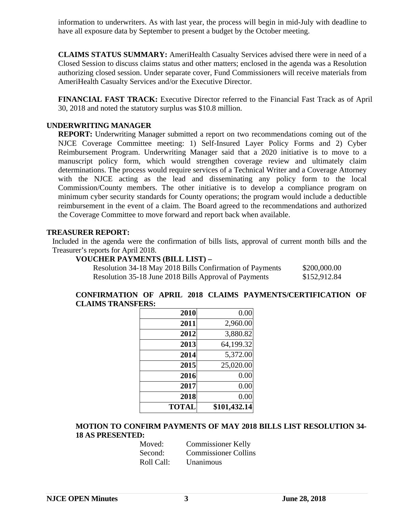information to underwriters. As with last year, the process will begin in mid-July with deadline to have all exposure data by September to present a budget by the October meeting.

**CLAIMS STATUS SUMMARY:** AmeriHealth Casualty Services advised there were in need of a Closed Session to discuss claims status and other matters; enclosed in the agenda was a Resolution authorizing closed session. Under separate cover, Fund Commissioners will receive materials from AmeriHealth Casualty Services and/or the Executive Director.

**FINANCIAL FAST TRACK:** Executive Director referred to the Financial Fast Track as of April 30, 2018 and noted the statutory surplus was \$10.8 million.

## **UNDERWRITING MANAGER**

**REPORT:** Underwriting Manager submitted a report on two recommendations coming out of the NJCE Coverage Committee meeting: 1) Self-Insured Layer Policy Forms and 2) Cyber Reimbursement Program. Underwriting Manager said that a 2020 initiative is to move to a manuscript policy form, which would strengthen coverage review and ultimately claim determinations. The process would require services of a Technical Writer and a Coverage Attorney with the NJCE acting as the lead and disseminating any policy form to the local Commission/County members. The other initiative is to develop a compliance program on minimum cyber security standards for County operations; the program would include a deductible reimbursement in the event of a claim. The Board agreed to the recommendations and authorized the Coverage Committee to move forward and report back when available.

#### **TREASURER REPORT:**

Included in the agenda were the confirmation of bills lists, approval of current month bills and the Treasurer's reports for April 2018.

## **VOUCHER PAYMENTS (BILL LIST) –**

| Resolution 34-18 May 2018 Bills Confirmation of Payments | \$200,000.00 |
|----------------------------------------------------------|--------------|
| Resolution 35-18 June 2018 Bills Approval of Payments    | \$152,912.84 |

## **CONFIRMATION OF APRIL 2018 CLAIMS PAYMENTS/CERTIFICATION OF CLAIMS TRANSFERS:**

| 2010         | 0.00         |
|--------------|--------------|
| 2011         | 2,960.00     |
| 2012         | 3,880.82     |
| 2013         | 64,199.32    |
| 2014         | 5,372.00     |
| 2015         | 25,020.00    |
| 2016         | 0.00         |
| 2017         | 0.00         |
| 2018         | 0.00         |
| <b>TOTAL</b> | \$101,432.14 |

## **MOTION TO CONFIRM PAYMENTS OF MAY 2018 BILLS LIST RESOLUTION 34- 18 AS PRESENTED:**

| Moved:     | <b>Commissioner Kelly</b>   |
|------------|-----------------------------|
| Second:    | <b>Commissioner Collins</b> |
| Roll Call: | Unanimous                   |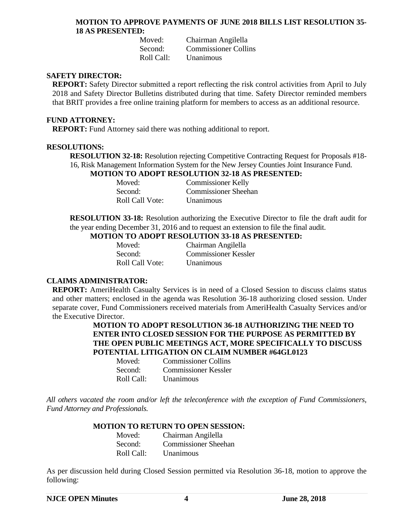#### **MOTION TO APPROVE PAYMENTS OF JUNE 2018 BILLS LIST RESOLUTION 35- 18 AS PRESENTED:**

 Moved: Chairman Angilella Second: Commissioner Collins Roll Call: Unanimous

#### **SAFETY DIRECTOR:**

**REPORT:** Safety Director submitted a report reflecting the risk control activities from April to July 2018 and Safety Director Bulletins distributed during that time. Safety Director reminded members that BRIT provides a free online training platform for members to access as an additional resource.

#### **FUND ATTORNEY:**

**REPORT:** Fund Attorney said there was nothing additional to report.

#### **RESOLUTIONS:**

**RESOLUTION 32-18:** Resolution rejecting Competitive Contracting Request for Proposals #18- 16, Risk Management Information System for the New Jersey Counties Joint Insurance Fund.

## **MOTION TO ADOPT RESOLUTION 32-18 AS PRESENTED:**

| Moved:  |                        | <b>Commissioner Kelly</b>   |
|---------|------------------------|-----------------------------|
| Second: |                        | <b>Commissioner Sheehan</b> |
|         | <b>Roll Call Vote:</b> | Unanimous                   |

**RESOLUTION 33-18:** Resolution authorizing the Executive Director to file the draft audit for the year ending December 31, 2016 and to request an extension to file the final audit.

# **MOTION TO ADOPT RESOLUTION 33-18 AS PRESENTED:**

Roll Call Vote: Unanimous

Moved: Chairman Angilella Second: Commissioner Kessler

## **CLAIMS ADMINISTRATOR:**

**REPORT:** AmeriHealth Casualty Services is in need of a Closed Session to discuss claims status and other matters; enclosed in the agenda was Resolution 36-18 authorizing closed session. Under separate cover, Fund Commissioners received materials from AmeriHealth Casualty Services and/or the Executive Director.

> **MOTION TO ADOPT RESOLUTION 36-18 AUTHORIZING THE NEED TO ENTER INTO CLOSED SESSION FOR THE PURPOSE AS PERMITTED BY THE OPEN PUBLIC MEETINGS ACT, MORE SPECIFICALLY TO DISCUSS POTENTIAL LITIGATION ON CLAIM NUMBER #64GL0123**

| Moved:     | <b>Commissioner Collins</b> |
|------------|-----------------------------|
| Second:    | <b>Commissioner Kessler</b> |
| Roll Call: | Unanimous                   |

*All others vacated the room and/or left the teleconference with the exception of Fund Commissioners, Fund Attorney and Professionals.* 

## **MOTION TO RETURN TO OPEN SESSION:**

| Moved:  |            | Chairman Angilella          |
|---------|------------|-----------------------------|
| Second: |            | <b>Commissioner Sheehan</b> |
|         | Roll Call: | Unanimous                   |

As per discussion held during Closed Session permitted via Resolution 36-18, motion to approve the following: